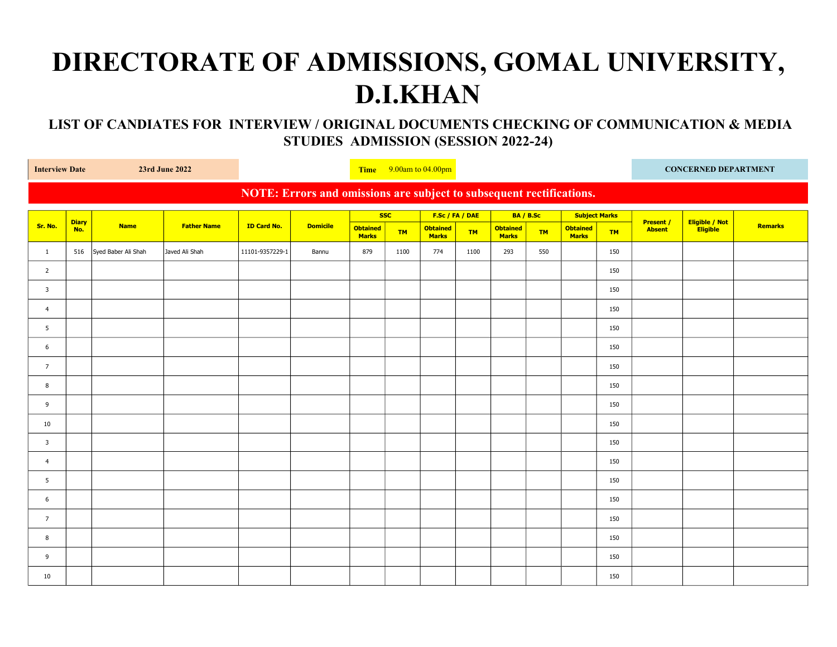## DIRECTORATE OF ADMISSIONS, GOMAL UNIVERSITY, D.I.KHAN

## LIST OF CANDIATES FOR INTERVIEW / ORIGINAL DOCUMENTS CHECKING OF COMMUNICATION & MEDIA STUDIES ADMISSION (SESSION 2022-24)

| <b>Interview Date</b><br>23rd June 2022                              |                     |                     |                    | Time $9.00$ am to $04.00$ pm |                 |                                 |           |                                 |           |                                 |           | <b>CONCERNED DEPARTMENT</b>     |           |                                   |                            |                |
|----------------------------------------------------------------------|---------------------|---------------------|--------------------|------------------------------|-----------------|---------------------------------|-----------|---------------------------------|-----------|---------------------------------|-----------|---------------------------------|-----------|-----------------------------------|----------------------------|----------------|
| NOTE: Errors and omissions are subject to subsequent rectifications. |                     |                     |                    |                              |                 |                                 |           |                                 |           |                                 |           |                                 |           |                                   |                            |                |
|                                                                      | <b>Diary</b><br>No. | <b>Name</b>         | <b>Father Name</b> | <b>ID Card No.</b>           | <b>Domicile</b> | <b>SSC</b>                      |           | F.Sc / FA / DAE                 |           | BA / B.Sc                       |           | <b>Subject Marks</b>            |           |                                   |                            |                |
| Sr. No.                                                              |                     |                     |                    |                              |                 | <b>Obtained</b><br><b>Marks</b> | <b>TM</b> | <b>Obtained</b><br><b>Marks</b> | <b>TM</b> | <b>Obtained</b><br><b>Marks</b> | <b>TM</b> | <b>Obtained</b><br><b>Marks</b> | <b>TM</b> | <b>Present /</b><br><b>Absent</b> | Eligible / Not<br>Eligible | <b>Remarks</b> |
| $\mathbf{1}$                                                         | 516                 | Syed Baber Ali Shah | Javed Ali Shah     | 11101-9357229-1              | Bannu           | 879                             | 1100      | 774                             | 1100      | 293                             | 550       |                                 | 150       |                                   |                            |                |
| $\overline{2}$                                                       |                     |                     |                    |                              |                 |                                 |           |                                 |           |                                 |           |                                 | 150       |                                   |                            |                |
| $\mathbf{3}$                                                         |                     |                     |                    |                              |                 |                                 |           |                                 |           |                                 |           |                                 | 150       |                                   |                            |                |
| $\overline{4}$                                                       |                     |                     |                    |                              |                 |                                 |           |                                 |           |                                 |           |                                 | 150       |                                   |                            |                |
| 5                                                                    |                     |                     |                    |                              |                 |                                 |           |                                 |           |                                 |           |                                 | 150       |                                   |                            |                |
| 6                                                                    |                     |                     |                    |                              |                 |                                 |           |                                 |           |                                 |           |                                 | 150       |                                   |                            |                |
| $\overline{7}$                                                       |                     |                     |                    |                              |                 |                                 |           |                                 |           |                                 |           |                                 | 150       |                                   |                            |                |
| 8                                                                    |                     |                     |                    |                              |                 |                                 |           |                                 |           |                                 |           |                                 | 150       |                                   |                            |                |
| 9                                                                    |                     |                     |                    |                              |                 |                                 |           |                                 |           |                                 |           |                                 | 150       |                                   |                            |                |
| 10                                                                   |                     |                     |                    |                              |                 |                                 |           |                                 |           |                                 |           |                                 | 150       |                                   |                            |                |
| $\mathbf{3}$                                                         |                     |                     |                    |                              |                 |                                 |           |                                 |           |                                 |           |                                 | 150       |                                   |                            |                |
| $\overline{4}$                                                       |                     |                     |                    |                              |                 |                                 |           |                                 |           |                                 |           |                                 | 150       |                                   |                            |                |
| 5 <sup>5</sup>                                                       |                     |                     |                    |                              |                 |                                 |           |                                 |           |                                 |           |                                 | 150       |                                   |                            |                |
| 6                                                                    |                     |                     |                    |                              |                 |                                 |           |                                 |           |                                 |           |                                 | 150       |                                   |                            |                |
| $7\overline{ }$                                                      |                     |                     |                    |                              |                 |                                 |           |                                 |           |                                 |           |                                 | 150       |                                   |                            |                |
| 8                                                                    |                     |                     |                    |                              |                 |                                 |           |                                 |           |                                 |           |                                 | 150       |                                   |                            |                |
| 9                                                                    |                     |                     |                    |                              |                 |                                 |           |                                 |           |                                 |           |                                 | 150       |                                   |                            |                |
| 10                                                                   |                     |                     |                    |                              |                 |                                 |           |                                 |           |                                 |           |                                 | 150       |                                   |                            |                |